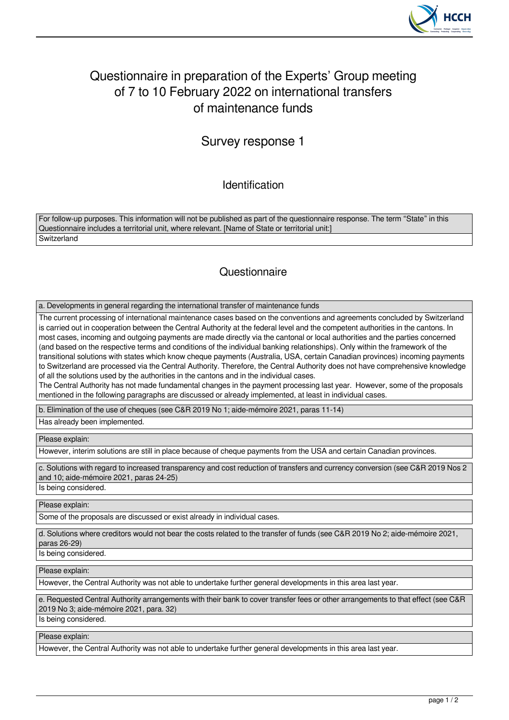

## Questionnaire in preparation of the Experts' Group meeting of 7 to 10 February 2022 on international transfers of maintenance funds

## Survey response 1

Identification

For follow-up purposes. This information will not be published as part of the questionnaire response. The term "State" in this Questionnaire includes a territorial unit, where relevant. [Name of State or territorial unit:] **Switzerland** 

## **Questionnaire**

a. Developments in general regarding the international transfer of maintenance funds

The current processing of international maintenance cases based on the conventions and agreements concluded by Switzerland is carried out in cooperation between the Central Authority at the federal level and the competent authorities in the cantons. In most cases, incoming and outgoing payments are made directly via the cantonal or local authorities and the parties concerned (and based on the respective terms and conditions of the individual banking relationships). Only within the framework of the transitional solutions with states which know cheque payments (Australia, USA, certain Canadian provinces) incoming payments to Switzerland are processed via the Central Authority. Therefore, the Central Authority does not have comprehensive knowledge of all the solutions used by the authorities in the cantons and in the individual cases.

The Central Authority has not made fundamental changes in the payment processing last year. However, some of the proposals mentioned in the following paragraphs are discussed or already implemented, at least in individual cases.

b. Elimination of the use of cheques (see C&R 2019 No 1; aide-mémoire 2021, paras 11-14)

Has already been implemented.

Please explain:

However, interim solutions are still in place because of cheque payments from the USA and certain Canadian provinces.

c. Solutions with regard to increased transparency and cost reduction of transfers and currency conversion (see C&R 2019 Nos 2 and 10; aide-mémoire 2021, paras 24-25)

Is being considered.

Please explain:

Some of the proposals are discussed or exist already in individual cases.

d. Solutions where creditors would not bear the costs related to the transfer of funds (see C&R 2019 No 2; aide-mémoire 2021, paras 26-29)

Is being considered.

Please explain:

However, the Central Authority was not able to undertake further general developments in this area last year.

e. Requested Central Authority arrangements with their bank to cover transfer fees or other arrangements to that effect (see C&R 2019 No 3; aide-mémoire 2021, para. 32)

Is being considered.

Please explain:

However, the Central Authority was not able to undertake further general developments in this area last year.